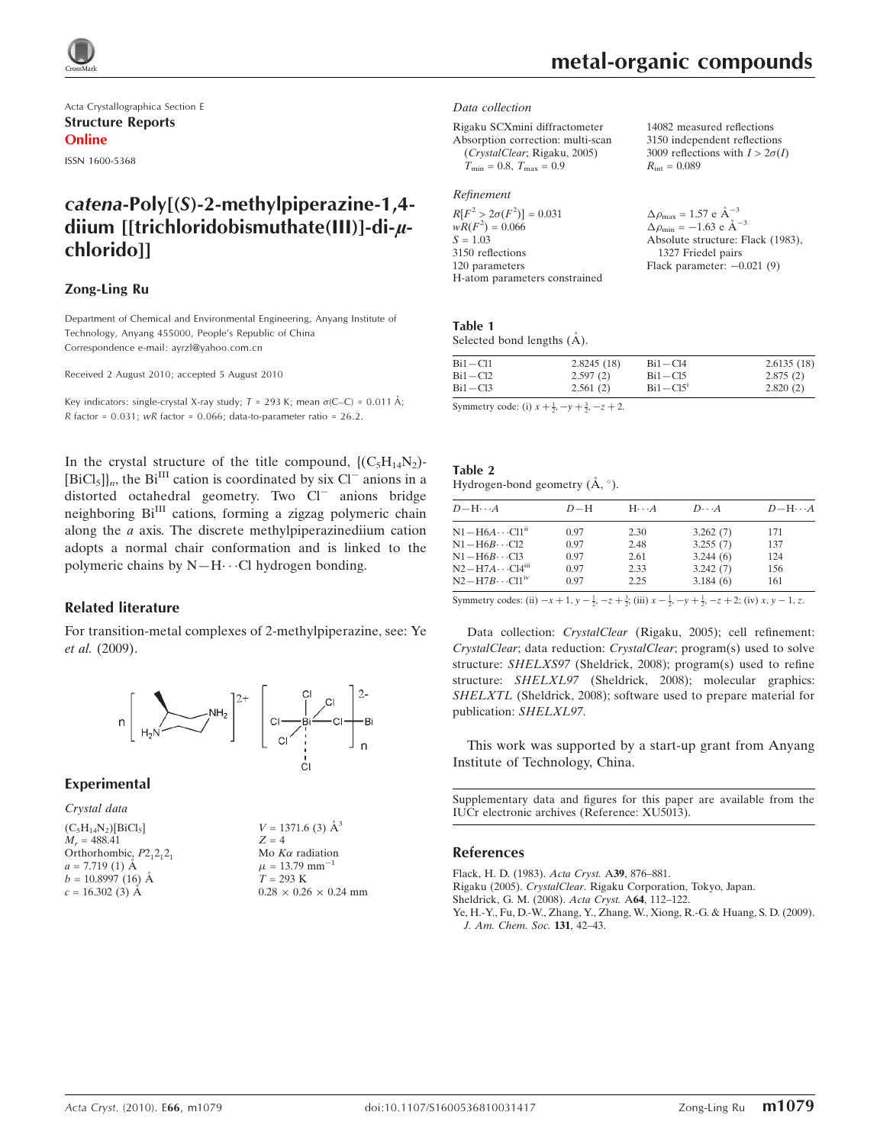

Acta Crystallographica Section E Structure Reports Online

ISSN 1600-5368

# catena-Poly[(S)-2-methylpiperazine-1,4 diium [[trichloridobismuthate(III)]-di-uchlorido]]

#### Zong-Ling Ru

Department of Chemical and Environmental Engineering, Anyang Institute of Technology, Anyang 455000, People's Republic of China Correspondence e-mail: ayrzl@yahoo.com.cn

Received 2 August 2010; accepted 5 August 2010

Key indicators: single-crystal X-ray study;  $T = 293$  K; mean  $\sigma$ (C–C) = 0.011 Å; R factor =  $0.031$ ; wR factor =  $0.066$ ; data-to-parameter ratio =  $26.2$ .

In the crystal structure of the title compound,  $\{(\mathrm{C}_5\mathrm{H}_{14}\mathrm{N}_2)\}$ - $[\text{BiCl}_5]$ <sub>n</sub>, the Bi<sup>III</sup> cation is coordinated by six Cl<sup>-</sup> anions in a distorted octahedral geometry. Two Cl<sup>-</sup> anions bridge neighboring Bi<sup>III</sup> cations, forming a zigzag polymeric chain along the a axis. The discrete methylpiperazinediium cation adopts a normal chair conformation and is linked to the polymeric chains by  $N-H\cdots$ Cl hydrogen bonding.

#### Related literature

For transition-metal complexes of 2-methylpiperazine, see: Ye et al. (2009).



#### Experimental

Crystal data

 $(C_5H_{14}N_2)[BiCl_5]$  $M<sub>r</sub> = 488.41$ Orthorhombic,  $P2_12_12_1$  $a = 7.719(1)$  Å  $b = 10.8997(16)$  Å  $c = 16.302(3)$  Å

 $V = 1371.6$  (3)  $\AA^3$  $Z = 4$ Mo  $K\alpha$  radiation  $\mu = 13.79$  mm<sup>-1</sup>  $T = 293$  K  $0.28 \times 0.26 \times 0.24$  mm

#### Data collection

Rigaku SCXmini diffractometer Absorption correction: multi-scan (CrystalClear; Rigaku, 2005)  $T_{\text{min}} = 0.8, T_{\text{max}} = 0.9$ 

#### Refinement

 $R[F^2 > 2\sigma(F^2)] = 0.031$  $wR(F^2) = 0.066$  $S = 1.03$ 3150 reflections 120 parameters H-atom parameters constrained 3150 independent reflections 3009 reflections with  $I > 2\sigma(I)$  $R_{\text{int}} = 0.089$ 

14082 measured reflections

 $\Delta \rho_{\text{max}} = 1.57 \text{ e A}^{-3}$  $\Delta \rho_{\text{min}} = -1.63 \text{ e } \text{\AA}^{-3}$ Absolute structure: Flack (1983), 1327 Friedel pairs Flack parameter:  $-0.021(9)$ 

# Table 1

Selected bond lengths ( $\AA$ ).

| Bi1-Cl1<br>2.8245(18)<br>$Bi1 - Cl4$ | 2.6135(18) |
|--------------------------------------|------------|
| Bi1-Cl2<br>2.597(2)<br>$Bi1 - Ci5$   | 2.875(2)   |
| $Bi1 - Cl5'$<br>Bi1-Cl3<br>2.561(2)  | 2.820(2)   |

Symmetry code: (i)  $x + \frac{1}{2}, -y + \frac{3}{2}, -z + 2$ .

| Table 2                                            |  |  |
|----------------------------------------------------|--|--|
| Hydrogen-bond geometry $(\mathring{A}, \degree)$ . |  |  |

| $D - H \cdots A$                  | $D-H$ | $H \cdot \cdot \cdot A$ | $D \cdot \cdot \cdot A$ | $D - H \cdots A$ |
|-----------------------------------|-------|-------------------------|-------------------------|------------------|
| $N1 - H6A \cdots CH^{ii}$         | 0.97  | 2.30                    | 3.262(7)                | 171              |
| $N1 - H6B \cdots C12$             | 0.97  | 2.48                    | 3.255(7)                | 137              |
| $N1 - H6B \cdots C13$             | 0.97  | 2.61                    | 3.244(6)                | 124              |
| $N2-H7A\cdots C14$ <sup>iii</sup> | 0.97  | 2.33                    | 3.242(7)                | 156              |
| $N2-H7B\cdots C11iv$              | 0.97  | 2.25                    | 3.184(6)                | 161              |

Symmetry codes: (ii)  $-x+1$ ,  $y - \frac{1}{2}$ ,  $-z + \frac{3}{2}$ ; (iii)  $x - \frac{1}{2}$ ,  $-y + \frac{1}{2}$ ,  $-z + 2$ ; (iv)  $x, y - 1$ , z.

Data collection: CrystalClear (Rigaku, 2005); cell refinement: CrystalClear; data reduction: CrystalClear; program(s) used to solve structure: SHELXS97 (Sheldrick, 2008); program(s) used to refine structure: SHELXL97 (Sheldrick, 2008); molecular graphics: SHELXTL (Sheldrick, 2008); software used to prepare material for publication: SHELXL97.

This work was supported by a start-up grant from Anyang Institute of Technology, China.

Supplementary data and figures for this paper are available from the IUCr electronic archives (Reference: XU5013).

#### References

[Flack, H. D. \(1983\).](https://scripts.iucr.org/cgi-bin/cr.cgi?rm=pdfbb&cnor=xu5013&bbid=BB1) Acta Cryst. A39, 876–881.

Rigaku (2005). CrystalClear[. Rigaku Corporation, Tokyo, Japan.](https://scripts.iucr.org/cgi-bin/cr.cgi?rm=pdfbb&cnor=xu5013&bbid=BB2)

[Sheldrick, G. M. \(2008\).](https://scripts.iucr.org/cgi-bin/cr.cgi?rm=pdfbb&cnor=xu5013&bbid=BB3) Acta Cryst. A64, 112–122.

[Ye, H.-Y., Fu, D.-W., Zhang, Y., Zhang, W., Xiong, R.-G. & Huang, S. D. \(2009\).](https://scripts.iucr.org/cgi-bin/cr.cgi?rm=pdfbb&cnor=xu5013&bbid=BB4) [J. Am. Chem. Soc.](https://scripts.iucr.org/cgi-bin/cr.cgi?rm=pdfbb&cnor=xu5013&bbid=BB4) 131, 42–43.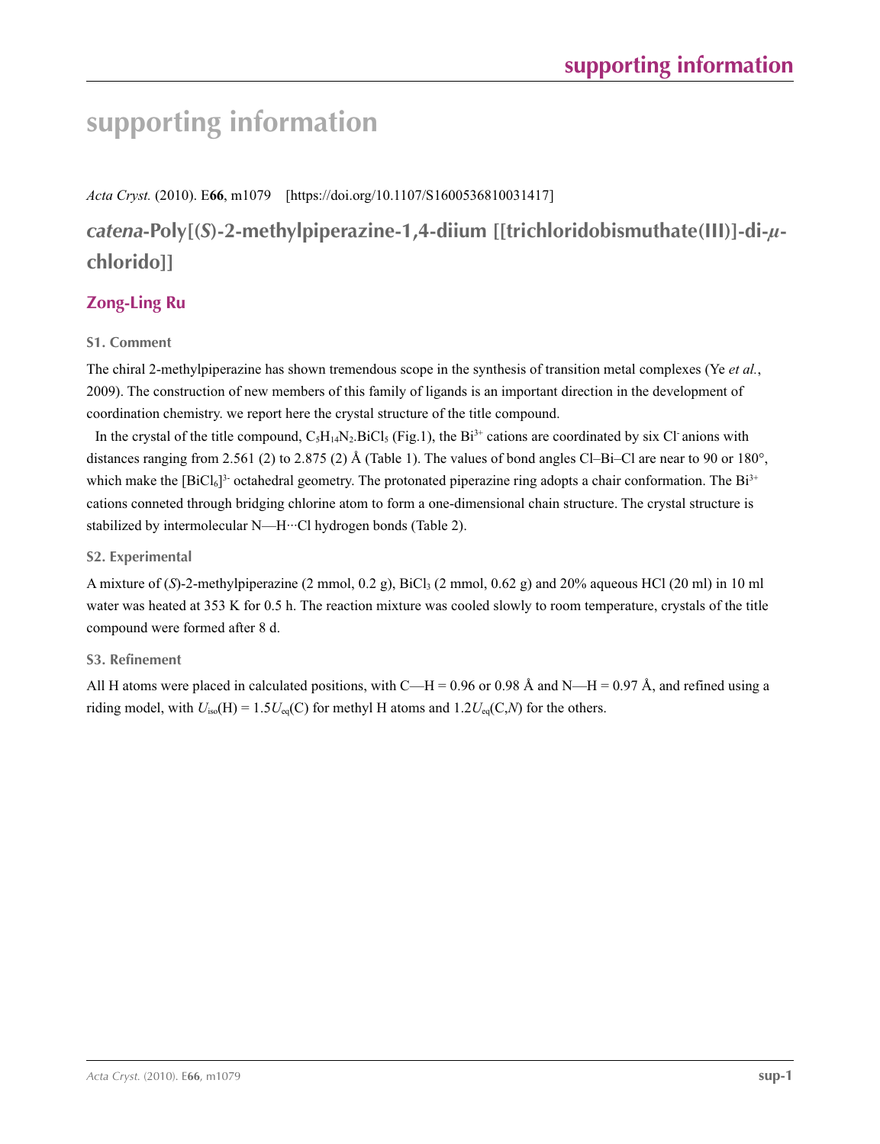# **supporting information**

## *Acta Cryst.* (2010). E**66**, m1079 [https://doi.org/10.1107/S1600536810031417]

# *catena***-Poly[(***S***)-2-methylpiperazine-1,4-diium [[trichloridobismuthate(III)]-di-***µ***chlorido]]**

# **Zong-Ling Ru**

## **S1. Comment**

The chiral 2-methylpiperazine has shown tremendous scope in the synthesis of transition metal complexes (Ye *et al.*, 2009). The construction of new members of this family of ligands is an important direction in the development of coordination chemistry. we report here the crystal structure of the title compound.

In the crystal of the title compound,  $C_5H_{14}N_2.BiCl_5$  (Fig.1), the Bi<sup>3+</sup> cations are coordinated by six Cl anions with distances ranging from 2.561 (2) to 2.875 (2) Å (Table 1). The values of bond angles Cl–Bi–Cl are near to 90 or 180°, which make the  $[BiCl_6]^3$ - octahedral geometry. The protonated piperazine ring adopts a chair conformation. The  $Bi^{3+}$ cations conneted through bridging chlorine atom to form a one-dimensional chain structure. The crystal structure is stabilized by intermolecular N—H···Cl hydrogen bonds (Table 2).

#### **S2. Experimental**

A mixture of (*S*)-2-methylpiperazine (2 mmol, 0.2 g), BiCl<sub>3</sub> (2 mmol, 0.62 g) and 20% aqueous HCl (20 ml) in 10 ml water was heated at 353 K for 0.5 h. The reaction mixture was cooled slowly to room temperature, crystals of the title compound were formed after 8 d.

# **S3. Refinement**

All H atoms were placed in calculated positions, with C—H = 0.96 or 0.98 Å and N—H = 0.97 Å, and refined using a riding model, with  $U_{iso}(H) = 1.5U_{eq}(C)$  for methyl H atoms and  $1.2U_{eq}(C,N)$  for the others.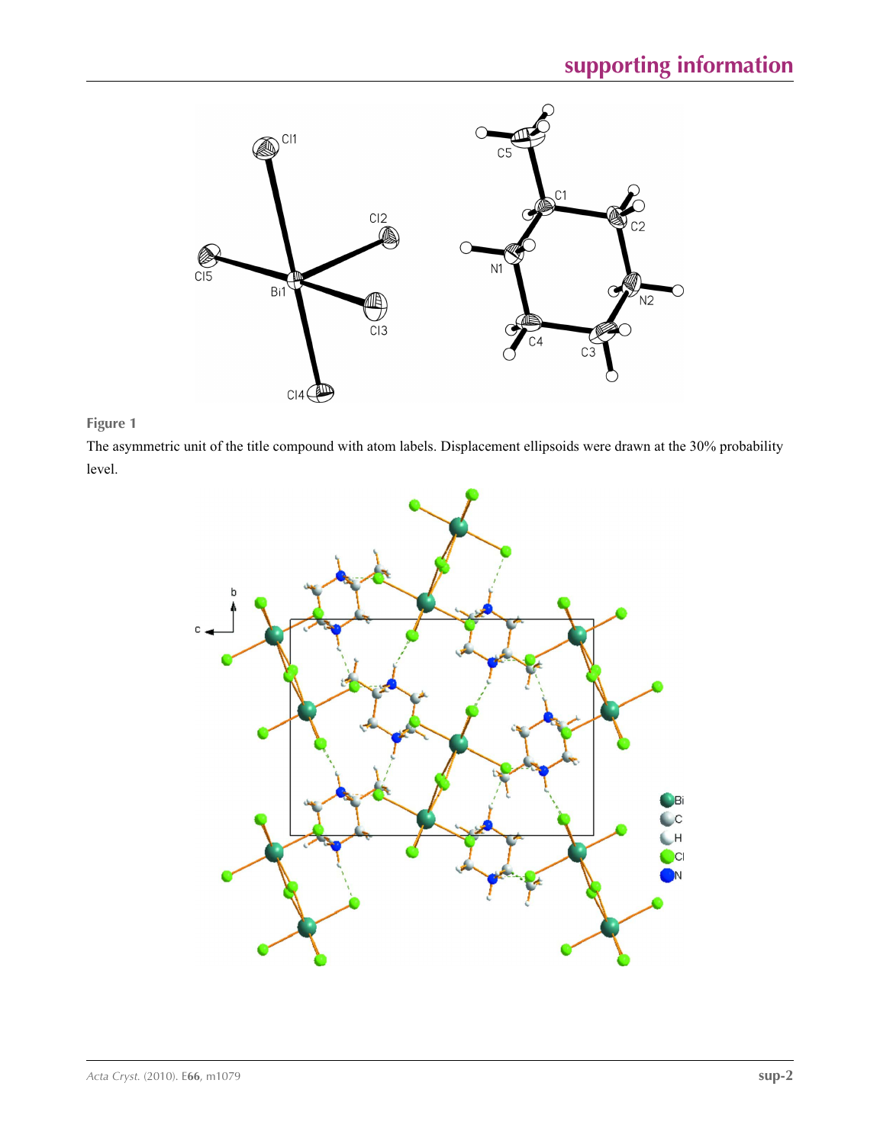

## **Figure 1**

The asymmetric unit of the title compound with atom labels. Displacement ellipsoids were drawn at the 30% probability level.

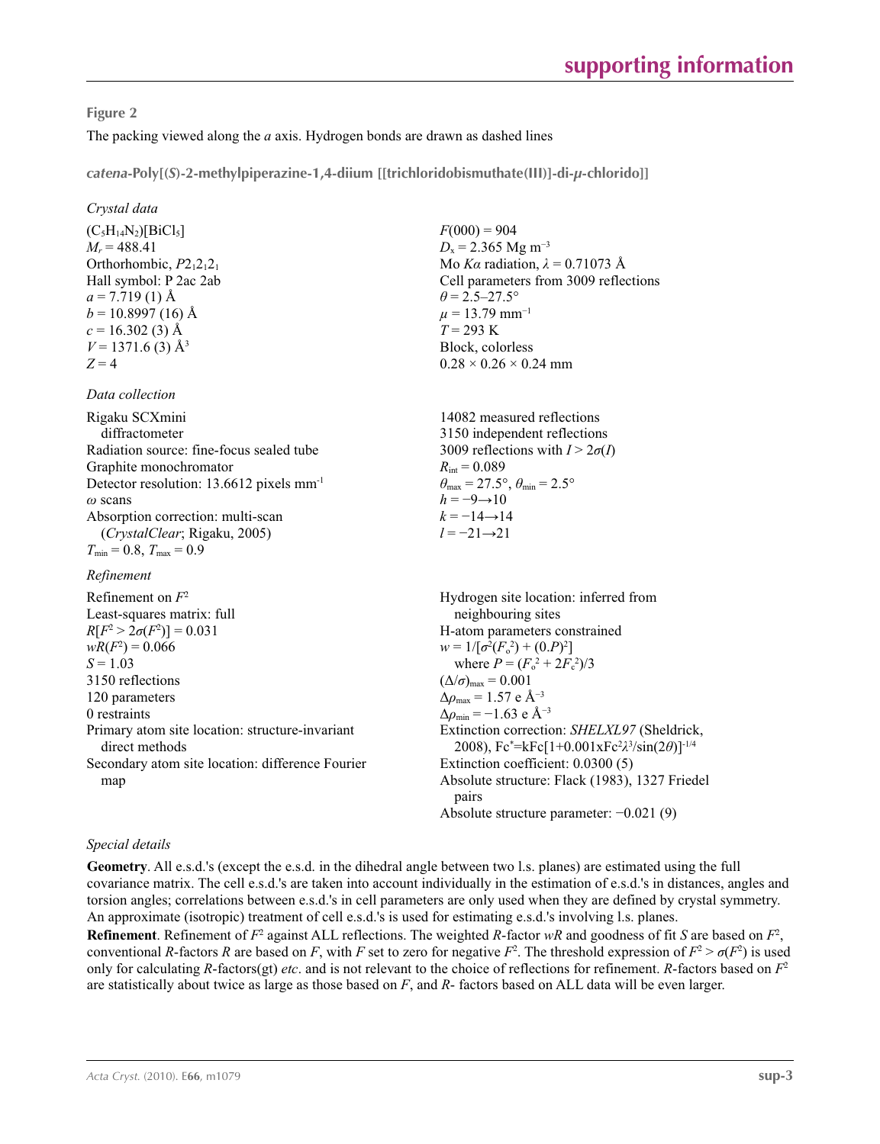#### **Figure 2**

The packing viewed along the *a* axis. Hydrogen bonds are drawn as dashed lines

*catena***-Poly[(***S***)-2-methylpiperazine-1,4-diium [[trichloridobismuthate(III)]-di-***µ***-chlorido]]** 

#### *Crystal data*

 $(C_5H_{14}N_2)[BiCl_5]$  $M_r = 488.41$ Orthorhombic,  $P2_12_12_1$ Hall symbol: P 2ac 2ab  $a = 7.719(1)$  Å  $b = 10.8997(16)$  Å  $c = 16.302(3)$  Å  $V = 1371.6$  (3) Å<sup>3</sup>  $Z = 4$ 

#### *Data collection*

Rigaku SCXmini diffractometer Radiation source: fine-focus sealed tube Graphite monochromator Detector resolution: 13.6612 pixels mm-1 *ω* scans Absorption correction: multi-scan (*CrystalClear*; Rigaku, 2005)  $T_{\text{min}} = 0.8, T_{\text{max}} = 0.9$ 

#### *Refinement*

Refinement on *F*<sup>2</sup> Least-squares matrix: full *R*[ $F^2 > 2\sigma(F^2)$ ] = 0.031  $wR(F^2) = 0.066$  $S = 1.03$ 3150 reflections 120 parameters 0 restraints Primary atom site location: structure-invariant direct methods Secondary atom site location: difference Fourier map

 $F(000) = 904$  $D<sub>x</sub>$  = 2.365 Mg m<sup>-3</sup> Mo *Kα* radiation,  $\lambda = 0.71073$  Å Cell parameters from 3009 reflections  $\theta$  = 2.5–27.5°  $\mu = 13.79$  mm<sup>-1</sup> *T* = 293 K Block, colorless  $0.28 \times 0.26 \times 0.24$  mm

14082 measured reflections 3150 independent reflections 3009 reflections with  $I > 2\sigma(I)$  $R_{\text{int}} = 0.089$  $\theta_{\text{max}} = 27.5^{\circ}, \theta_{\text{min}} = 2.5^{\circ}$  $h = -9 \rightarrow 10$  $k = -14 \rightarrow 14$ *l* = −21→21

Hydrogen site location: inferred from neighbouring sites H-atom parameters constrained  $w = 1/[\sigma^2 (F_o^2) + (0.P)^2]$ where  $P = (F_o^2 + 2F_c^2)/3$  $(\Delta/\sigma)_{\text{max}} = 0.001$  $\Delta\rho_{\rm max}$  = 1.57 e Å<sup>-3</sup>  $\Delta \rho_{\text{min}} = -1.63$  e Å<sup>-3</sup> Extinction correction: *SHELXL97* (Sheldrick, 2008), Fc\* =kFc[1+0.001xFc2 *λ*3 /sin(2*θ*)]-1/4 Extinction coefficient: 0.0300 (5) Absolute structure: Flack (1983), 1327 Friedel pairs Absolute structure parameter: −0.021 (9)

#### *Special details*

**Geometry**. All e.s.d.'s (except the e.s.d. in the dihedral angle between two l.s. planes) are estimated using the full covariance matrix. The cell e.s.d.'s are taken into account individually in the estimation of e.s.d.'s in distances, angles and torsion angles; correlations between e.s.d.'s in cell parameters are only used when they are defined by crystal symmetry. An approximate (isotropic) treatment of cell e.s.d.'s is used for estimating e.s.d.'s involving l.s. planes.

**Refinement**. Refinement of  $F^2$  against ALL reflections. The weighted  $R$ -factor  $wR$  and goodness of fit  $S$  are based on  $F^2$ , conventional *R*-factors *R* are based on *F*, with *F* set to zero for negative  $F^2$ . The threshold expression of  $F^2 > \sigma(F^2)$  is used only for calculating *R*-factors(gt) *etc*. and is not relevant to the choice of reflections for refinement. *R*-factors based on *F*<sup>2</sup> are statistically about twice as large as those based on *F*, and *R*- factors based on ALL data will be even larger.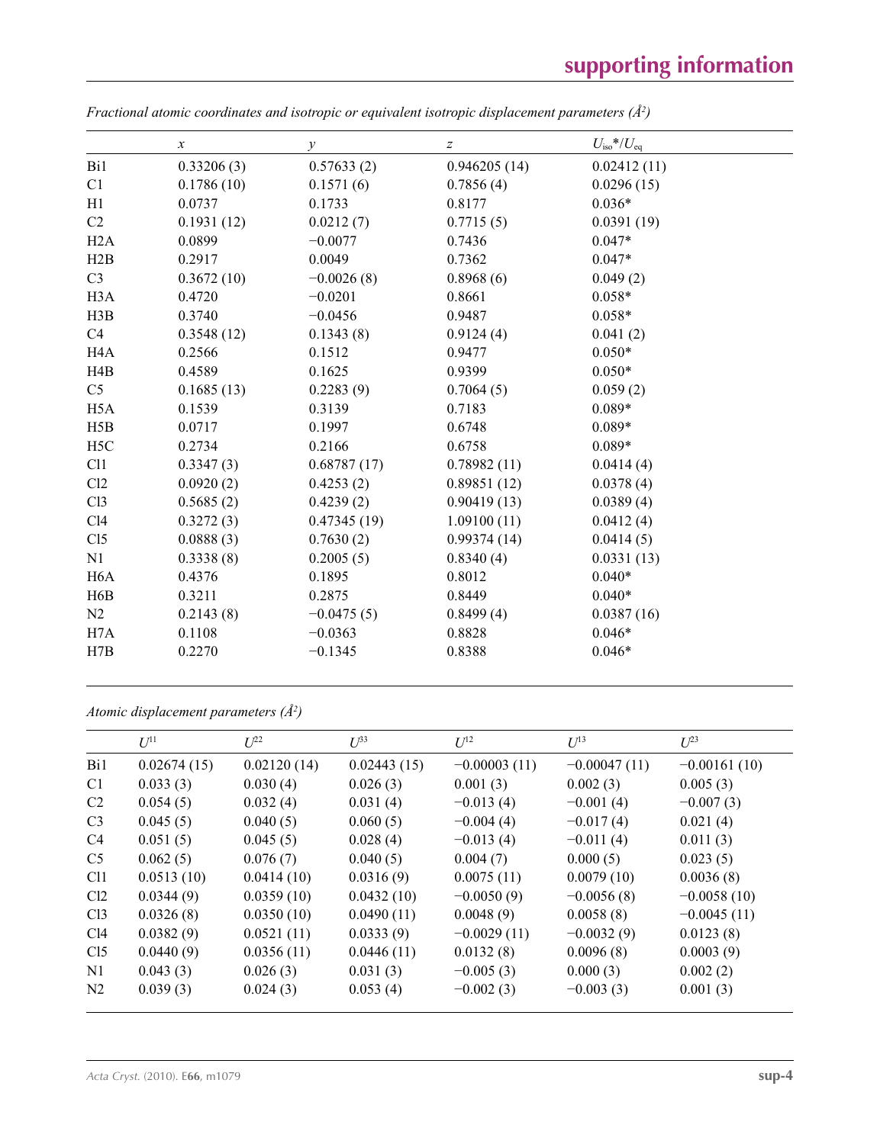|                  | $\boldsymbol{\chi}$ | $\mathcal{Y}$ | z            | $U_{\rm iso}*/U_{\rm eq}$ |
|------------------|---------------------|---------------|--------------|---------------------------|
| Bi1              | 0.33206(3)          | 0.57633(2)    | 0.946205(14) | 0.02412(11)               |
| C1               | 0.1786(10)          | 0.1571(6)     | 0.7856(4)    | 0.0296(15)                |
| H1               | 0.0737              | 0.1733        | 0.8177       | $0.036*$                  |
| C2               | 0.1931(12)          | 0.0212(7)     | 0.7715(5)    | 0.0391(19)                |
| H2A              | 0.0899              | $-0.0077$     | 0.7436       | $0.047*$                  |
| H2B              | 0.2917              | 0.0049        | 0.7362       | $0.047*$                  |
| C <sub>3</sub>   | 0.3672(10)          | $-0.0026(8)$  | 0.8968(6)    | 0.049(2)                  |
| H <sub>3</sub> A | 0.4720              | $-0.0201$     | 0.8661       | $0.058*$                  |
| H3B              | 0.3740              | $-0.0456$     | 0.9487       | $0.058*$                  |
| C4               | 0.3548(12)          | 0.1343(8)     | 0.9124(4)    | 0.041(2)                  |
| H <sub>4</sub> A | 0.2566              | 0.1512        | 0.9477       | $0.050*$                  |
| H4B              | 0.4589              | 0.1625        | 0.9399       | $0.050*$                  |
| C <sub>5</sub>   | 0.1685(13)          | 0.2283(9)     | 0.7064(5)    | 0.059(2)                  |
| H <sub>5</sub> A | 0.1539              | 0.3139        | 0.7183       | $0.089*$                  |
| H5B              | 0.0717              | 0.1997        | 0.6748       | $0.089*$                  |
| H <sub>5</sub> C | 0.2734              | 0.2166        | 0.6758       | $0.089*$                  |
| C11              | 0.3347(3)           | 0.68787(17)   | 0.78982(11)  | 0.0414(4)                 |
| Cl2              | 0.0920(2)           | 0.4253(2)     | 0.89851(12)  | 0.0378(4)                 |
| C13              | 0.5685(2)           | 0.4239(2)     | 0.90419(13)  | 0.0389(4)                 |
| C14              | 0.3272(3)           | 0.47345(19)   | 1.09100(11)  | 0.0412(4)                 |
| C15              | 0.0888(3)           | 0.7630(2)     | 0.99374(14)  | 0.0414(5)                 |
| N1               | 0.3338(8)           | 0.2005(5)     | 0.8340(4)    | 0.0331(13)                |
| H <sub>6</sub> A | 0.4376              | 0.1895        | 0.8012       | $0.040*$                  |
| H6B              | 0.3211              | 0.2875        | 0.8449       | $0.040*$                  |
| N2               | 0.2143(8)           | $-0.0475(5)$  | 0.8499(4)    | 0.0387(16)                |
| H7A              | 0.1108              | $-0.0363$     | 0.8828       | $0.046*$                  |
| H7B              | 0.2270              | $-0.1345$     | 0.8388       | $0.046*$                  |

*Fractional atomic coordinates and isotropic or equivalent isotropic displacement parameters (Å<sup>2</sup>)* 

*Atomic displacement parameters (Å2 )*

|                 | $U^{11}$    | $L^{22}$    | $U^{33}$    | $U^{12}$       | $U^{13}$       | $U^{23}$       |
|-----------------|-------------|-------------|-------------|----------------|----------------|----------------|
| Bi1             | 0.02674(15) | 0.02120(14) | 0.02443(15) | $-0.00003(11)$ | $-0.00047(11)$ | $-0.00161(10)$ |
| C <sub>1</sub>  | 0.033(3)    | 0.030(4)    | 0.026(3)    | 0.001(3)       | 0.002(3)       | 0.005(3)       |
| C <sub>2</sub>  | 0.054(5)    | 0.032(4)    | 0.031(4)    | $-0.013(4)$    | $-0.001(4)$    | $-0.007(3)$    |
| C <sub>3</sub>  | 0.045(5)    | 0.040(5)    | 0.060(5)    | $-0.004(4)$    | $-0.017(4)$    | 0.021(4)       |
| C <sub>4</sub>  | 0.051(5)    | 0.045(5)    | 0.028(4)    | $-0.013(4)$    | $-0.011(4)$    | 0.011(3)       |
| C <sub>5</sub>  | 0.062(5)    | 0.076(7)    | 0.040(5)    | 0.004(7)       | 0.000(5)       | 0.023(5)       |
| Cl <sub>1</sub> | 0.0513(10)  | 0.0414(10)  | 0.0316(9)   | 0.0075(11)     | 0.0079(10)     | 0.0036(8)      |
| Cl2             | 0.0344(9)   | 0.0359(10)  | 0.0432(10)  | $-0.0050(9)$   | $-0.0056(8)$   | $-0.0058(10)$  |
| Cl <sub>3</sub> | 0.0326(8)   | 0.0350(10)  | 0.0490(11)  | 0.0048(9)      | 0.0058(8)      | $-0.0045(11)$  |
| Cl4             | 0.0382(9)   | 0.0521(11)  | 0.0333(9)   | $-0.0029(11)$  | $-0.0032(9)$   | 0.0123(8)      |
| C15             | 0.0440(9)   | 0.0356(11)  | 0.0446(11)  | 0.0132(8)      | 0.0096(8)      | 0.0003(9)      |
| N1              | 0.043(3)    | 0.026(3)    | 0.031(3)    | $-0.005(3)$    | 0.000(3)       | 0.002(2)       |
| N <sub>2</sub>  | 0.039(3)    | 0.024(3)    | 0.053(4)    | $-0.002(3)$    | $-0.003(3)$    | 0.001(3)       |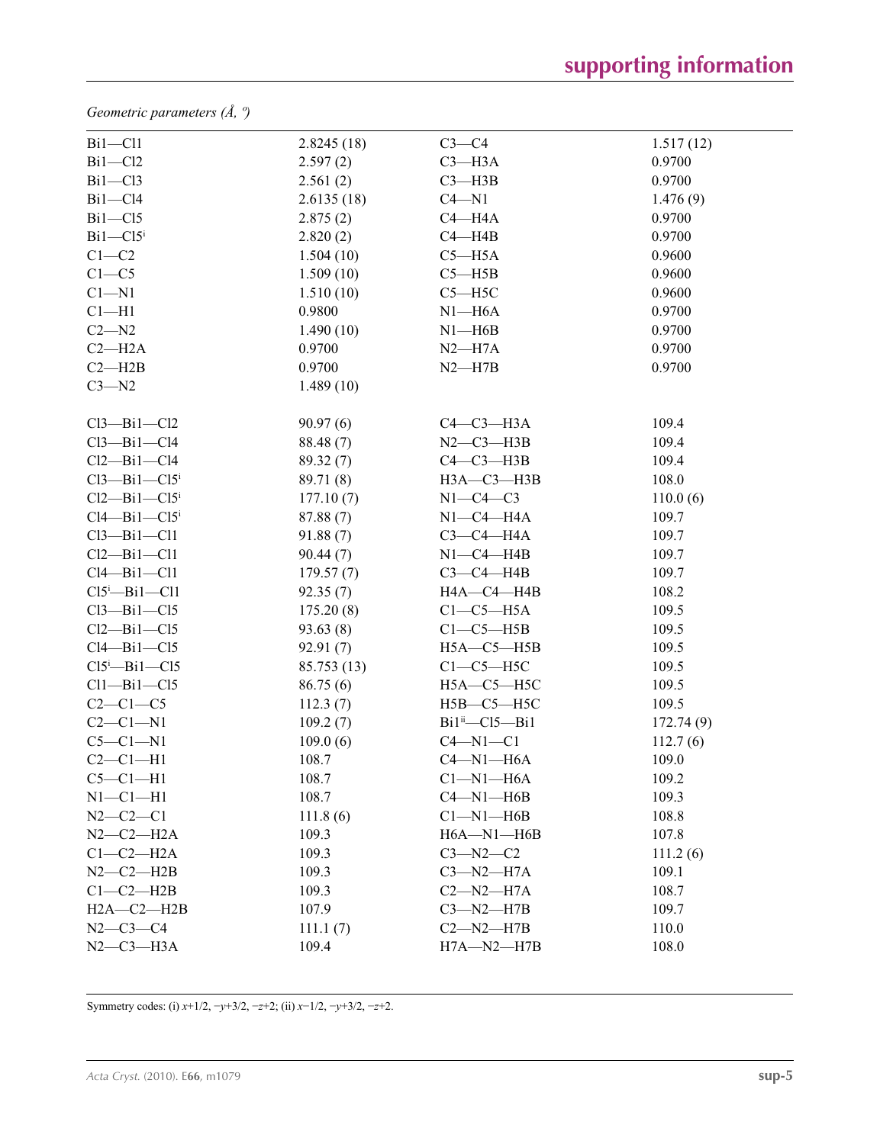*Geometric parameters (Å, º)*

| $Bi1 - Cl1$                        | 2.8245(18)  | $C3-C4$                 | 1.517(12) |
|------------------------------------|-------------|-------------------------|-----------|
| $Bi1 - Cl2$                        | 2.597(2)    | $C3 - H3A$              | 0.9700    |
| $Bi1 - Cl3$                        | 2.561(2)    | $C3$ —H3B               | 0.9700    |
| $Bi1 - Cl4$                        | 2.6135(18)  | $C4 - N1$               | 1.476(9)  |
| $Bi1 - Cl5$                        | 2.875(2)    | $C4 - H4A$              | 0.9700    |
| $Bi1-C15$ <sup>i</sup>             | 2.820(2)    | $C4 - H4B$              | 0.9700    |
| $C1 - C2$                          | 1.504(10)   | $C5 - H5A$              | 0.9600    |
| $C1 - C5$                          | 1.509(10)   | $C5 - H5B$              | 0.9600    |
| $C1 - N1$                          | 1.510(10)   | $C5 - H5C$              | 0.9600    |
| $Cl-H1$                            | 0.9800      | $N1 - H6A$              | 0.9700    |
| $C2 - N2$                          | 1.490(10)   | $N1 - H6B$              | 0.9700    |
| $C2 - H2A$                         | 0.9700      | $N2-H7A$                | 0.9700    |
| $C2 - H2B$                         | 0.9700      | $N2 - H7B$              | 0.9700    |
| $C3 - N2$                          | 1.489(10)   |                         |           |
|                                    |             |                         |           |
| Cl3—Bi1—Cl2                        | 90.97(6)    | $C4-C3-H3A$             | 109.4     |
| Cl3—Bi1—Cl4                        | 88.48 (7)   | $N2-C3-H3B$             | 109.4     |
| Cl2—Bi1—Cl4                        | 89.32 (7)   | $C4-C3-H3B$             | 109.4     |
| $Cl3$ —Bi $1$ —C $15$ <sup>i</sup> | 89.71 (8)   | НЗА-СЗ-НЗВ              | 108.0     |
| $Cl2$ —Bi $1$ — $Cl5$ <sup>i</sup> | 177.10(7)   | $N1-C4-C3$              | 110.0(6)  |
| $Cl4$ —Bi $1$ —Cl5 <sup>i</sup>    | 87.88 (7)   | $N1-C4-H4A$             | 109.7     |
| Cl3—Bi1—Cl1                        | 91.88(7)    | $C3-C4-H4A$             | 109.7     |
| Cl2—Bi1—Cl1                        | 90.44(7)    | $N1-C4-H4B$             | 109.7     |
| Cl4—Bi1—Cl1                        | 179.57(7)   | $C3-C4-H4B$             | 109.7     |
| $Cl5^i$ -Bil-Cll                   | 92.35(7)    | HA—C4—H4B               | 108.2     |
| Cl3—Bi1—Cl5                        | 175.20(8)   | $C1-C5-H5A$             | 109.5     |
| Cl2—Bi1—Cl5                        | 93.63(8)    | $C1-C5-H5B$             | 109.5     |
| Cl4—Bi1—Cl5                        | 92.91(7)    | $H5A - C5 - H5B$        | 109.5     |
| $Cl5^i$ -Bil-Cl5                   | 85.753 (13) | $C1-C5-H5C$             | 109.5     |
| $Cl1 - Bi1 - Cl5$                  | 86.75(6)    | $H5A - C5 - H5C$        | 109.5     |
| $C2-C1-C5$                         | 112.3(7)    | $H5B-C5-H5C$            | 109.5     |
| $C2-C1-N1$                         | 109.2(7)    | $Bi1ii$ - $Cl5$ - $Bi1$ | 172.74(9) |
| $C5-C1-N1$                         | 109.0(6)    | $C4 - N1 - C1$          | 112.7(6)  |
| $C2-C1-H1$                         | 108.7       | $C4 - N1 - H6A$         | 109.0     |
| $C5-C1-H1$                         | 108.7       | $Cl-M1-H6A$             | 109.2     |
| $N1-C1-H1$                         | 108.7       | $C4 - N1 - H6B$         | 109.3     |
| $N2 - C2 - C1$                     | 111.8(6)    | $Cl-M1-H6B$             | 108.8     |
| $N2-C2-H2A$                        | 109.3       | $H6A - N1 - H6B$        | 107.8     |
| $C1-C2-H2A$                        | 109.3       | $C3 - N2 - C2$          | 111.2(6)  |
| $N2-C2-H2B$                        | 109.3       | $C3 - N2 - H7A$         | 109.1     |
| $C1-C2-H2B$                        | 109.3       | $C2-M2-H7A$             | 108.7     |
| $H2A - C2 - H2B$                   | 107.9       | $C3 - N2 - H7B$         | 109.7     |
| $N2 - C3 - C4$                     | 111.1(7)    | $C2 - N2 - H7B$         | 110.0     |
| $N2-C3-H3A$                        | 109.4       | $H7A - N2 - H7B$        | 108.0     |

Symmetry codes: (i) *x*+1/2, −*y*+3/2, −*z*+2; (ii) *x*−1/2, −*y*+3/2, −*z*+2.